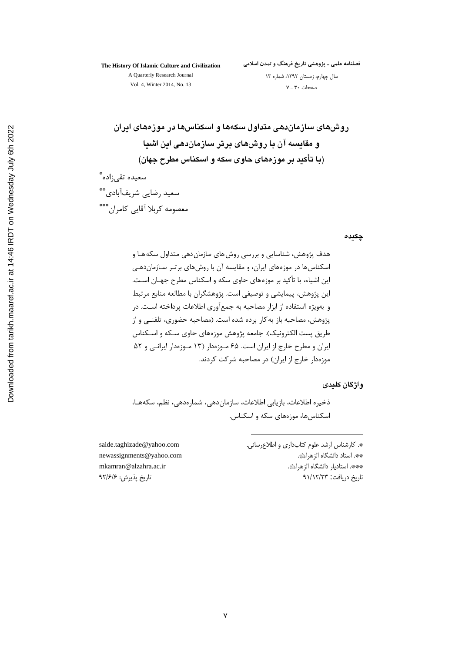## The History Of Islamic Culture and Civilization A Quarterly Research Journal

فصلنامه علمی ــ پژوهشی تاریخ فرهنگ و تمدن اسلامی

Vol. 4, Winter 2014, No. 13

سال چهارم، زمستان ۱۳۹۲، شماره ۱۳ صفحات ٣٠\_٧

روشهای سازماندهی متداول سکهها و اسکناسها در موزههای ایران و مقایسه آن با روشهای برتر سازماندهی این اشیا (با تأکید بر موزههای حاوی سکه و اسکناس مطرح جهان) سعيده تقي;اده ٌ سعید رضایی شریفآبادی\*\* معصومه كربلا أقايي كامران\*\*\*

چکیدہ

واژگان کلیدی

ذخيره اطلاعات، بازيابي اطلاعات، سازمان دهي، شمارهدهي، نظم، سكههـا، اسکناس ها، موزههای سکه و اسکناس.

> \*. كارشناس ارشد علوم كتابداري و اطلاعرساني. \*\*. استاد دانشگاه الزهراﷺ. \*\*\*. استاديار دانشگاه الزهرائي. تاريخ دريافت: ٩١/١٢/٢٣

saide.taghizade@yahoo.com newassignments@yahoo.com mkamran@alzahra.ac.ir تاريخ پذيرش: ٩٢/۶/۶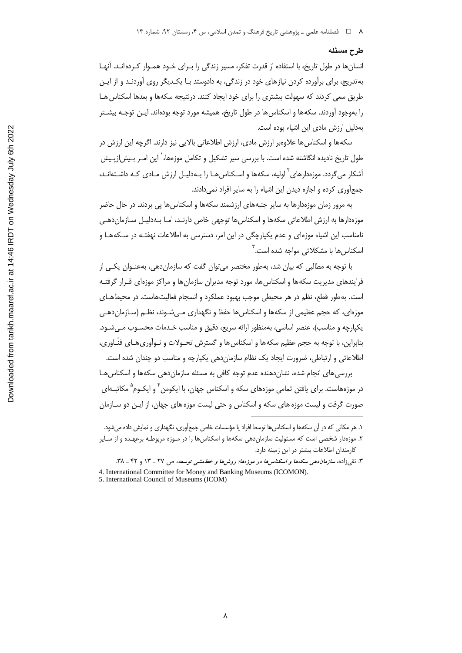## طرح مسئله

انسانها در طول تاریخ، با استفاده از قدرت تفکر، مسیر زندگی را بـرای خـود همـوار کـرده انـد. آنهـا به تدریج، برای برآورده کردن نیازهای خود در زندگی، به دادوستد بـا یکـدیگر روی آوردنـد و از ایـن طریق سعی کردند که سهولت بیشتری را برای خود ایجاد کنند. درنتیجه سکهها و بعدها اسکناس هـا را بهوجود آوردند. سکهها و اسکناس ها در طول تاریخ، همیشه مورد توجه بودهاند. ایـن توجـه بیشـتر بهدلیل ارزش مادی این اشیاء بوده است.

سکهها و اسکناس ها علاوهبر ارزش مادی، ارزش اطلاعاتی بالایی نیز دارند. اگرچه این ارزش در طول تاریخ نادیده انگاشته شده است. با بررسی سیر تشکیل و تکامل موزهها،<sup>\</sup> این ا*مـ*ر بـیش|زپـیش آشکار می گردد. موزهدارهای <sup>۲</sup> اولیه، سکهها و اسـکناس هـا را پـهدلیـل ارزش مـادی کـه داشـتهانـد، جمعآوری کرده و اجازه دیدن این اشیاء را به سایر افراد نمی دادند.

به مرور زمان موزهدارها به سایر جنبههای ارزشمند سکهها و اسکناسها پی بردند. در حال حاضر موزهدارها به ارزش اطلاعاتی سکهها و اسکناسها توجهی خاص دارنـد، امـا بـهدليـل سـازماندهـی نامناسب این اشیاء موزهای و عدم یکپارچگی در این امر، دسترسی به اطلاعات نهفتـه در سـکههـا و اسکناس ها با مشکلاتی مواجه شده است.<sup>۳</sup>

با توجه به مطالبی که بیان شد، بهطور مختصر میتوان گفت که سازماندهی، بهعنـوان یکـی از فرایندهای مدیریت سکهها و اسکناس ها، مورد توجه مدیران سازمان ها و مراکز موزهای قـرار گرفتـه است. به طور قطع، نظم در هر محیطی موجب بهبود عملکرد و انسجام فعالیتهاست. در محیطهـای موزمای، که حجم عظیمی از سکهها و اسکناسها حفظ و نگهداری مے شـوند، نظـم (سـازمان دهـی يكيارچه و مناسب)، عنصر اساسي، بهمنظور ارائه سريع، دقيق و مناسب خـدمات محسـوب مـي شـود. بنابراین، با توجه به حجم عظیم سکهها و اسکناس ها و گسترش تحـولات و نـوآوری۵ـای فنّـاوری، اطلاعاتی و ارتباطی، ضرورت ایجاد یک نظام سازمان دهی یکپارچه و مناسب دو چندان شده است.

بررسی های انجام شده، نشان دهنده عدم توجه کافی به مسئله سازمان دهی سکهها و اسکناس هـا در موزههاست. برای یافتن تمامی موزههای سکه و اسکناس جهان، با ایکومن <sup>۴</sup> و ایکـوم<sup>۵</sup> مکاتبـهای صورت گرفت و لیست موزه های سکه و اسکناس و حتی لیست موزه های جهان، از ایـن دو سـازمان

۱. هر مکانی که در آن سکهها و اسکناسها توسط افراد یا مؤسسات خاص جمعآوری، نگهداری و نمایش داده میشود. ۲. موزهدار شخصی است که مسئولیت سازماندهی سکهها و اسکناس۱ها را در مـوزه مربوطـه برعهـده و از سـایر كارمندان اطلاعات بيشتر در اين زمينه دارد.

۳. تقی;اده، *سازمان دهی سکهها و اسکناسها در موزهها: روشها و خط*مش*می توسعه*، ص ۲۷ ـ ۱۳ و ۴۲ ـ ۳۸. 4. International Committee for Money and Banking Museums (ICOMON).

<sup>5.</sup> International Council of Museums (ICOM)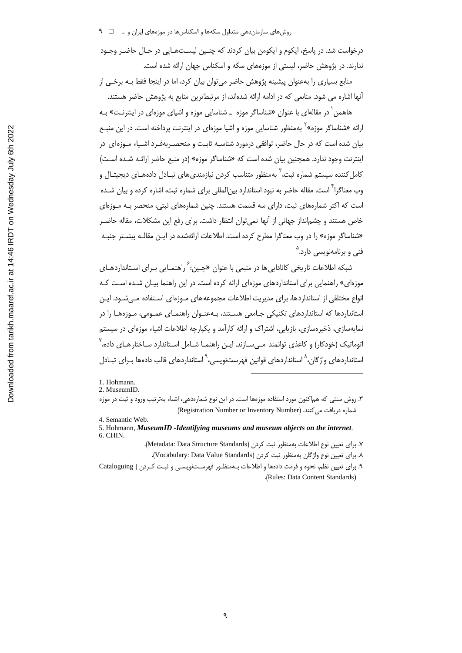درخواست شد. در پاسخ، ایکوم و ایکومن بیان کردند که چنـین لیسـتهـایی در حـال حاضـر وجـود ندارند. در پژوهش حاضر، لیستی از موزمهای سکه و اسکناس جهان ارائه شده است.

منابع بسیاری را بهعنوان پیشینه پژوهش حاضر می توان بیان کرد، اما در اینجا فقط بـه برخـی از آنها اشاره می شود. منابعی که در ادامه ارائه شدهاند، از مرتبطترین منابع به پژوهش حاضر هستند.

هاهمن ٰ در مقالهای با عنوان «شناساگر موزه \_ شناسایی موزه و اشیای موزهای در اینترنـت» بـه ارائه «شناساگر موزه»<sup>۲</sup> بهمنظور شناسایی موزه و اشیا موزهای در اینترنت پرداخته است. در این منبــع بیان شده است که در حال حاضر، توافقی درمورد شناسـه ثابـت و منحصـربهفـرد اشـیاء مـوزه|ی در اینترنت وجود ندارد. همچنین بیان شده است که «شناساگر موزه» (در منبع حاضر ارائـه شـده اسـت) کامل کننده سیستم شماره ثبت، ؓ بهمنظور متناسب کردن نیازمندی های تبـادل دادههـای دیجیتـال و وب معناگرا<sup>۴</sup> است. مقاله حاضر به نبود استاندارد بین|لملل<sub>ی</sub> برای شماره ثبت، اشاره کرده و بیان شـده است که اکثر شمارههای ثبت، دارای سه قسمت هستند. چنین شمارههای ثبتی، منحصر بـه مـوزهای خاص هستند و چشم|نداز جهانی از آنها نمیٍ توان انتظار داشت. برای رفع این مشکلات، مقاله حاضـر «شناساگر موزه» را در وب معناگرا مطرح کرده است. اطلاعات ارائهشده در ایـن مقالـه بیشـتر جنبـه فنی و برنامەنویسی دارد.<sup>۵</sup>

شبکه اطلاعات تاریخی کاناداییها در منبعی با عنوان «چـین:<sup>۶</sup> راهنمـایی بـرای اسـتانداردهـای موزهای» راهنمایی برای استانداردهای موزهای ارائه کرده است. در این راهنما بیـان شـده اسـت کـه انواع مختلفی از استانداردها، برای مدیریت اطلاعات مجموعههای مـوزهای اسـتفاده مـی شـود. ایـن استانداردها که استانداردهای تکنیکی جـامعی هسـتند، بـهعنـوان راهنمـای عمـومی، مـوزههـا را در نمایهسازی، ذخیرهسازی، بازیابی، اشتراک و ارائه کارآمد و یکپارچه اطلاعات اشیاء موزهای در سیستم اتوماتیک (خودکار) و کاغذی توانمند مـیسـازند. ایـن راهنمـا شـامل اسـتاندارد سـاختار هـای داده،<sup>۷</sup> استانداردهای واژگان،<sup>۸</sup> استانداردهای قوانین فهرستنویسی،<sup>۹</sup> استانداردهای قالب دادهها بـرای تبـادل

Y. براي تعيين نوع اطلاعات بهمنظور ثبت كردن (Metadata: Data Structure Standards).

<sup>1.</sup> Hohmann.

<sup>2.</sup> MuseumID.

۳. روش سنتی که هماکنون مورد استفاده موزهها است. در این نوع شمارهدهی، اشیاء بهترتیب ورود و ثبت در موزه شماره دریافت می کنند. (Registration Number or Inventory Number)

<sup>4.</sup> Semantic Web.

<sup>5.</sup> Hohmann, MuseumID -Identifying museums and museum objects on the internet. 6. CHIN.

٨. براى تعيين نوع واژگان بهمنظور ثبت كردن (Vocabulary: Data Value Standards).

۹. برای تعیین نظم، نحوه و فرمت دادهها و اطلاعات بـهمنظـور فهرسـتنویسـی و ثبـت کـردن ( Cataloguing .(Rules: Data Content Standards)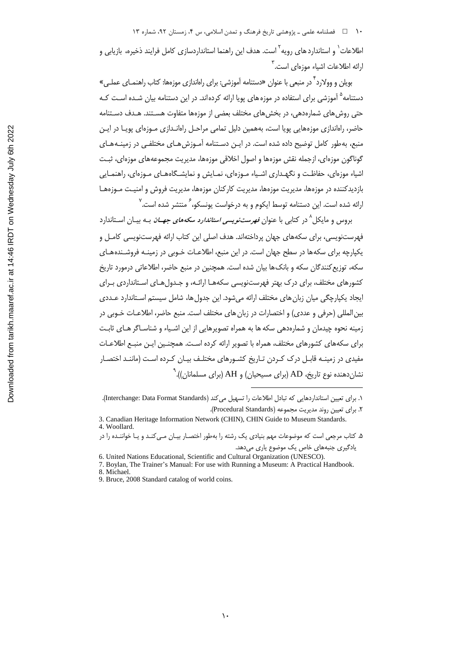۱۰ فصلنامه علمی ـ پژوهشی تاریخ فرهنگ و تمدن اسلامی، س ۴، زمستان ۹۲، شماره ۱۳

اطلاعات<sup>\</sup> و استاندارد های رویه<sup>۲</sup> است. هدف این راهنما استانداردسازی کامل فرایند ذخیره، بازیابی و ارائه اطلاعات اشیاء موزهای است.<sup>۳</sup>

بویلن و وولارد<sup>۴</sup> در منبعی با عنوان «دستنامه آموزشی: برای راهاندازی موزهها: کتاب راهنمـای عملـی» دستنامه<sup>۵</sup> آموزشی برای استفاده در موزه های پویا ارائه کردهاند. در این دستنامه بیان شـده اسـت کـه حتی روش های شمارهدهی، در بخش های مختلف بعضی از موزهها متفاوت هسـتند. هـدف دسـتنامه حاضر، راهاندازی موزههایی یویا است، بههمین دلیل تمامی مراحـل راهانــدازی مـوزهای یویـا در ایـن منبع، به طور کامل توضیح داده شده است. در ایـن دسـتنامه آمـوزش۵هـای مختلفـی در زمینـههـای گوناگون موزهای، ازجمله نقش موزهها و اصول اخلاقی موزهها، مدیریت مجموعههای موزهای، ثبـت اشیاء موزهای، حفاظت و نگهـداری اشـیاء مـوزهای، نمـایش و نمایشـگاههـای مـوزهای، راهنمـایی بازدیدکننده در موزهها، مدیریت موزهها، مدیریت کارکنان موزهها، مدیریت فروش و امنیـت مـوزههـا ارائه شده است. این دستنامه توسط ایکوم و به درخواست یونسکو،<sup>۶</sup> منتشر شده است.<sup>۷</sup>

بروس و مایکل<sup>۸</sup> در کتابی با عنوان *فهرستنویسی استاندارد سکههای جهــان* بــه بیــان اســتاندارد فهرستنویسی، برای سکههای جهان پرداختهاند. هدف اصلی این کتاب ارائه فهرستنویسی کامـل و یکیارچه برای سکهها در سطح جهان است. در این منبع، اطلاعـات خـوبی در زمینـه فروشـندههـای سکه، توزیع کنندگان سکه و بانک ها بیان شده است. همچنین در منبع حاضر، اطلاعاتی درمورد تاریخ کشورهای مختلف، برای درک بهتر فهرستنویسی سکههـا ارائـه، و جـدولهـای اسـتانداردی بـرای ایجاد یکپارچگی میان زبان های مختلف ارائه می شود. این جدول ها، شامل سیستم اسـتاندارد عــددی بین المللی (حرفی و عددی) و اختصارات در زبان های مختلف است. منبع حاضر، اطلاعـات خـوبی در زمینه نحوه چیدمان و شمارهدهی سکه ها به همراه تصویرهایی از این اشـیاء و شناسـاگر هـای ثابـت برای سکههای کشورهای مختلف، همراه با تصویر ارائه کرده است. همچنـین ایـن منبـع اطلاعـات مفیدی در زمینـه قابـل درک کـردن تـاریخ کشـورهای مختلـف بیـان کـرده اسـت (ماننـد اختصـار نشان دهنده نوع تاریخ، AD (برای مسیحیان) و AH (برای مسلمانان)). $^{\rho}$ 

١. براي تعيين استانداردهايي كه تبادل اطلاعات را تسهيل مي كند (Interchange: Data Format Standards). ٢. براي تعيين روند مديريت مجموعه (Procedural Standards).

<sup>3.</sup> Canadian Heritage Information Network (CHIN), CHIN Guide to Museum Standards. 4. Woollard.

۵. کتاب مرجعی است که موضوعات مهم بنیادی یک رشته را بهطور اختصـار بیـان مـی کنـد و یـا خواننـده را در یادگیری جنبههای خاص یک موضوع یاری میدهد.

<sup>6.</sup> United Nations Educational, Scientific and Cultural Organization (UNESCO).

<sup>7.</sup> Boylan, The Trainer's Manual: For use with Running a Museum: A Practical Handbook. 8. Michael.

<sup>9.</sup> Bruce, 2008 Standard catalog of world coins.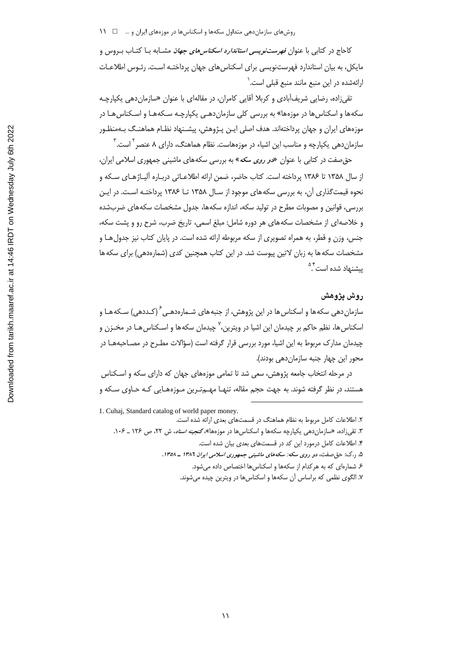کاحاج در کتابی با عنوان *فهرستنویسی استاندارد اسکناس های جهان* مشـابه بـا کتـاب بـروس و مایکل، به بیان استاندارد فهرستنویسی برای اسکناس های جهان پرداختـه اسـت. رئـوس اطلاعـات ارائهشده در این منبع مانند منبع قبلی است.<sup>۱</sup>

تقی;اده، رضایی شریفآبادی و کربلا آقایی کامران، در مقالهای با عنوان «سازمان دهی یکپارچـه سکهها و اسکناس ها در موزهها» به بررسی کلی سازماندهـی یکپارچـه سـکههـا و اسـکناس هـا در موزههای ایران و جهان پرداختهاند. هدف اصلی ایـن پـژوهش، پیشـنهاد نظـام هماهنـگ بـهمنظـور سازمانِ دهی یکپارچه و مناسب این اشیاء در موزههاست. نظام هماهنگ، دارای ۸ عنصر <sup>۲</sup> است. <sup>۲</sup>

حق صفت در کتابی با عنوان «د*و روی سکه*» به بررسی سکههای ماشینی جمهوری اسلامی ایران، از سال ۱۳۵۸ تا ۱۳۸۶ پرداخته است. کتاب حاضر، ضمن ارائه اطلاعـاتی دربـاره آلیـاژهـای سـکه و نحوه قیمتگذاری آن، به بررسی سکههای موجود از سـال ۱۳۵۸ تـا ۱۳۸۶ پرداختـه اسـت. در ایـن بررسی، قوانین و مصوبات مطرح در تولید سکه، اندازه سکهها، جدول مشخصات سکههای ضربشده و خلاصهای از مشخصات سکههای هر دوره شامل: مبلغ اسمی، تاریخ ضرب، شرح رو و پشت سکه، جنس، وزن و قطر، به همراه تصویری از سکه مربوطه ارائه شده است. در پایان کتاب نیز جدول هـا و مشخصات سکه ها به زبان لاتین پیوست شد. در این کتاب همچنین کدی (شمارهدهی) برای سکه ها ىشنهاد شده است<sup>۵۴</sup>

## روش يژوهش

سازمان دهی سکهها و اسکناس ها در این پژوهش، از جنبههای شـمارهدهـی<sup>۶</sup> (کـددهی) سـکههـا و اسکناس ها، نظم حاکم بر چیدمان این اشیا در ویترین،<sup>۷</sup> چیدمان سکهها و اسـکناس *هـ*ا در مخـزن و چیدمان مدارک مربوط به این اشیا، مورد بررسی قرار گرفته است (سؤالات مطـرح در مصـاحبههـا در محور اين چهار جنبه سازمان دهي بودند).

در مرحله انتخاب جامعه پژوهش، سعی شد تا تمامی موزههای جهان که دارای سکه و اسـکناس هستند، در نظر گرفته شوند. به جهت حجم مقاله، تنهـا مهـمتـرین مـوزههـایی کـه حـاوی سـکه و

1. Cuhaj, Standard catalog of world paper money.

۲. اطلاعات کامل مربوط به نظام هماهنگ در قسمتهای بعدی ارائه شده است. ۳. تقی زاده، «سازمان دهی یکپارچه سکهها و اسکناس ها در موزهها»، *گنجینه اسناد*، ش ۲۲، ص ۱۲۶ \_ ۱۰۶.

۴. اطلاعات کامل درمورد این کد در قسمتهای بعدی بیان شده است.

۵. ر.ک: حق صفت، دو روی سکه: سکههای ماشینی جمهوری اسلامی ایران ۱۳۸۶ ـ ۱۳۵۸.

۶. شمارهای که به هر کدام از سکهها و اسکناسها اختصاص داده میشود.

۷. الگوی نظمی که براساس آن سکهها و اسکناسها در ویترین چیده میشوند.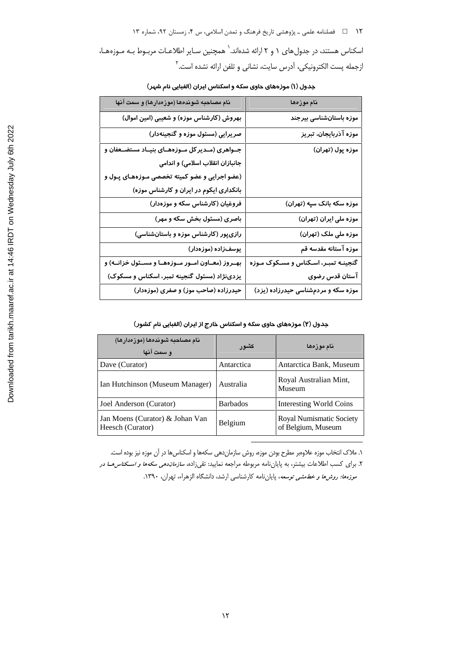۱۲ فصلنامه علمی ـ پژوهشی تاریخ فرهنگ و تمدن اسلامی، س ۴، زمستان ۹۲، شماره ۱۳ اسکناس هستند، در جدول های ۱ و ۲ ارائه شدهاند. ` همچنین سـایر اطلاعـات مربـوط بـه مـوزههـا، ازجمله پست الكترونيكي، آدرس سايت، نشاني و تلفن ارائه نشده است.<sup>۲</sup>

| نام مصاحبه شوندهها (موزهدارها) و سمت آنها            | نام موزەھا                            |
|------------------------------------------------------|---------------------------------------|
| بهروش (کارشناس موزه) و شعیبی (امین اموال)            | موزه باستانشناسی بیرجند               |
| صریرایی (مسئول موزه و گنجینهدار)                     | موزه آذربایجان، تبریز                 |
| جــواهری (مــدیر کل مــوزههــای بنیــاد مستضــعفان و | موزه پول (تهران)                      |
| جانبازان انقلاب اسلامی) و اندامی                     |                                       |
| (عضو اجرایی و عضو کمیته تخصصی مـوزههـای پـول و       |                                       |
| بانکداری ایکوم در ایران و کارشناس موزه)              |                                       |
| فروغیان (کارشناس سکه و موزهدار)                      | موزه سکه بانک سپه (تهران)             |
| باصری (مسئول بخش سکه و مهر)                          | موزه ملی ایران (تهران)                |
| رازیپور (کارشناس موزه و باستانشناسی)                 | موزه ملی ملک (تهران)                  |
| یوسفزاده (موزهدار)                                   | موزه آستانه مقدسه قم                  |
| بهـروز (معـاون امـور مـوزههـا و مسـئول خزانــه) و    | گنجینـه تمبـر، اسـکناس و مسـکوک مـوزه |
| یزدینژاد (مسئول گنجینه تمبر، اسکناس و مسکوک)         | آستان قدس رضوی                        |
| حیدرزاده (صاحب موز) و صفری (موزهدار)                 | موزه سکه و مردمشناسی حیدرزاده (یزد)   |

جدول (۱) موزههای حاوی سکه و اسکناس ایران (الفبایی نام شهر)

جدول (۲) موزههای حاوی سکه و اسکناس خارج از ایران (الفبایی نام کشور)

| نام مصاحبه شوندهها (موزەدارها)<br>و سمت آنها        | كشور            | نام موزهها                                     |
|-----------------------------------------------------|-----------------|------------------------------------------------|
| Dave (Curator)                                      | Antarctica      | Antarctica Bank, Museum                        |
| Ian Hutchinson (Museum Manager)                     | Australia       | Royal Australian Mint,<br>Museum               |
| Joel Anderson (Curator)                             | <b>Barbados</b> | <b>Interesting World Coins</b>                 |
| Jan Moens (Curator) & Johan Van<br>Heesch (Curator) | Belgium         | Royal Numismatic Society<br>of Belgium, Museum |

١. ملاک انتخاب موزه علاوەبر مطرح بودن موزه، روش سازماندهی سکهها و اسکناسها در آن موزه نیز بوده است. ۲. برای کسب اطلاعات بیشتر، به پایاننامه مربوطه مراجعه نمایید: تقیزاده، *سازماندهی سکهها و اسکناس هـا در* م*وزهها؛ روشها و خطمشی توسعه*، پایاننامه کارشناسی ارشد، دانشگاه الزهراء، تهران، ۱۳۹۰.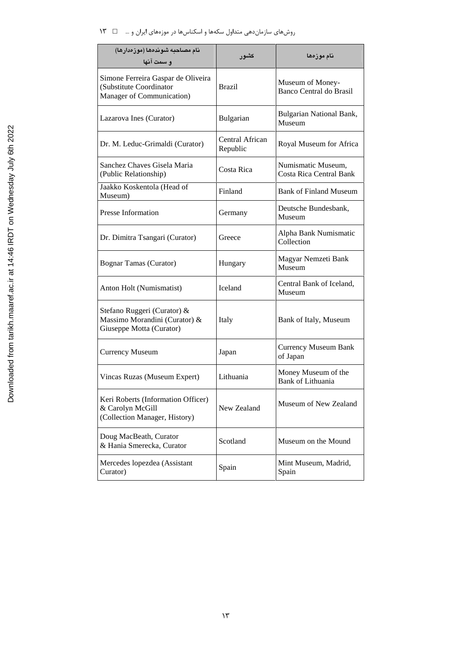# روشهای سازماندهی متداول سکهها و اسکناسها در موزههای ایران و … ه د ۱۳

| نام مصاحبه شوندهها (موزەدارها)<br>و سمت آنها                                               | کشو ر                       | نام موزەھا                                           |
|--------------------------------------------------------------------------------------------|-----------------------------|------------------------------------------------------|
| Simone Ferreira Gaspar de Oliveira<br>(Substitute Coordinator<br>Manager of Communication) | <b>Brazil</b>               | Museum of Money-<br>Banco Central do Brasil          |
| Lazarova Ines (Curator)                                                                    | Bulgarian                   | Bulgarian National Bank,<br>Museum                   |
| Dr. M. Leduc-Grimaldi (Curator)                                                            | Central African<br>Republic | Royal Museum for Africa                              |
| Sanchez Chaves Gisela Maria<br>(Public Relationship)                                       | Costa Rica                  | Numismatic Museum,<br><b>Costa Rica Central Bank</b> |
| Jaakko Koskentola (Head of<br>Museum)                                                      | Finland                     | <b>Bank of Finland Museum</b>                        |
| <b>Presse Information</b>                                                                  | Germany                     | Deutsche Bundesbank,<br>Museum                       |
| Dr. Dimitra Tsangari (Curator)                                                             | Greece                      | Alpha Bank Numismatic<br>Collection                  |
| Bognar Tamas (Curator)                                                                     | Hungary                     | Magyar Nemzeti Bank<br>Museum                        |
| Anton Holt (Numismatist)                                                                   | <b>Iceland</b>              | Central Bank of Iceland,<br>Museum                   |
| Stefano Ruggeri (Curator) &<br>Massimo Morandini (Curator) &<br>Giuseppe Motta (Curator)   | Italy                       | Bank of Italy, Museum                                |
| <b>Currency Museum</b>                                                                     | Japan                       | <b>Currency Museum Bank</b><br>of Japan              |
| Vincas Ruzas (Museum Expert)                                                               | Lithuania                   | Money Museum of the<br><b>Bank of Lithuania</b>      |
| Keri Roberts (Information Officer)<br>& Carolyn McGill<br>(Collection Manager, History)    | New Zealand                 | Museum of New Zealand                                |
| Doug MacBeath, Curator<br>& Hania Smerecka, Curator                                        | Scotland                    | Museum on the Mound                                  |
| Mercedes lopezdea (Assistant<br>Curator)                                                   | Spain                       | Mint Museum, Madrid,<br>Spain                        |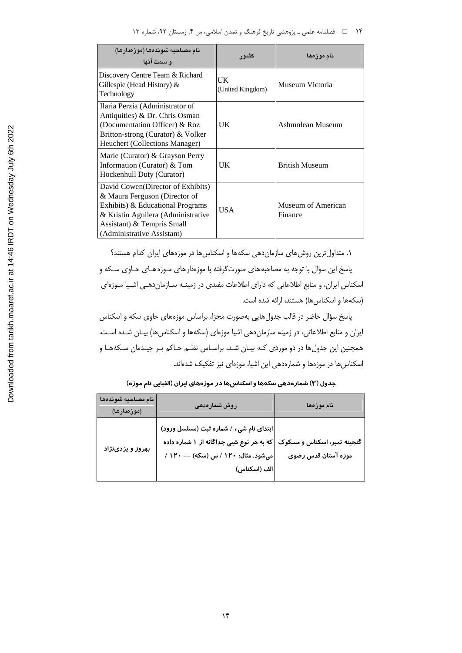| نام مصاحبه شوندهما (موزەدارها)<br>و سمت آنها                                                                                                                                                              | کشو ر                  | نام موز مها                   |
|-----------------------------------------------------------------------------------------------------------------------------------------------------------------------------------------------------------|------------------------|-------------------------------|
| Discovery Centre Team & Richard<br>Gillespie (Head History) $\&$<br>Technology                                                                                                                            | UK<br>(United Kingdom) | Museum Victoria               |
| Ilaria Perzia (Administrator of<br>Antiquities) & Dr. Chris Osman<br>(Documentation Officer) & Roz<br>Britton-strong (Curator) & Volker<br>Heuchert (Collections Manager)                                 | UK                     | Ashmolean Museum              |
| Marie (Curator) & Grayson Perry<br>Information (Curator) & Tom<br>Hockenhull Duty (Curator)                                                                                                               | UK                     | <b>British Museum</b>         |
| David Cowen (Director of Exhibits)<br>& Maura Ferguson (Director of<br>Exhibits) & Educational Programs<br>& Kristin Aguilera (Administrative<br>Assistant) & Tempris Small<br>(Administrative Assistant) | <b>USA</b>             | Museum of American<br>Finance |

۱. متداول ترین روش های سازمان دهی سکهها و اسکناس ها در موزههای ایران کدام هستند؟ پاسخ این سؤال با توجه به مصاحبه های صورتگرفته با موزهدار های مـوزه هـای حـاوی سـكه و اسکناس ایران، و منابع اطلاعاتی که دارای اطلاعات مفیدی در زمینـه سـازماندهـی اشـیا مـوزهای (سکهها و اسکناسها) هستند، ارائه شده است.

پاسخ سؤال حاضر در قالب جدولهایی بهصورت مجزا، براساس موزههای حاوی سکه و اسکناس ایران و منابع اطلاعاتی، در زمینه سازماندهی اشیا موزهای (سکهها و اسکناسها) بیـان شـده اسـت. همچنین این جدول ها در دو موردی کـه بیـان شـد، براسـاس نظـم حـاکم بـر چیـدمان سـکههـا و اسکناس ها در موزهها و شمارهدهی این اشیا، موزهای نیز تفکیک شدهاند.

| نام مصاحبه شوندهها<br>(موزەدارھا) | روش شمارەدھى                                                                                                                                                             | نام موزەھا          |
|-----------------------------------|--------------------------------------------------------------------------------------------------------------------------------------------------------------------------|---------------------|
| بهروز و یزدینژاد                  | ابتدای نام شیء / شماره ثبت (مسلسل ورود)<br>گنجینه تمبر، اسکناس و مسکوک  که به هر نوع شیی جداگانه از ۱ شماره داده<br> میشود. مثال: ۱۲۰ / س (سکه) -- ۱۲۰ /<br>الف (اسكناس) | موزه آستان قدس رضوی |

جدول (۳) شمارهدهی سکهها و اسکناسها در موزههای ایران (الفبایی نام موزه)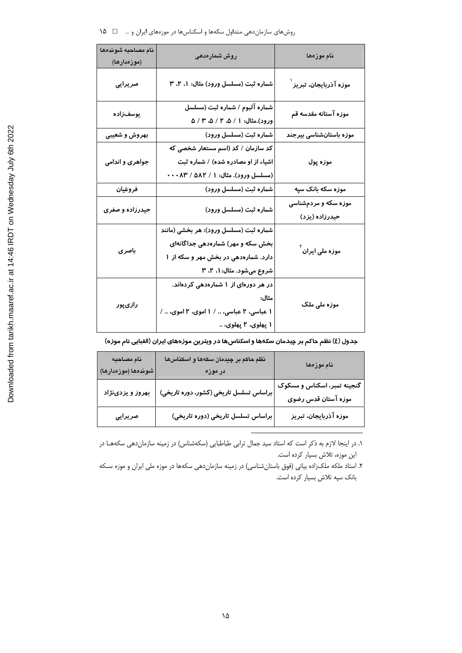| نام مصاحبه شوندهها<br>(موزەدارھا) | روش شىمارەدھى                                                                                                                                             | نام موزەھا                             |
|-----------------------------------|-----------------------------------------------------------------------------------------------------------------------------------------------------------|----------------------------------------|
| صريرايى                           | شماره ثبت (مسلسل ورود) مثال: ۱، ۲، ۳                                                                                                                      | موزه آذربایجان، تبریز ٰ                |
| يوسفزاده                          | شماره آلبوم / شماره ثبت (مسلسل<br>ورود).مثال: ۱ / ۵، ۲ / ۵، ۳ / ۵                                                                                         | موزه آستانه مقدسه قم                   |
| بهروش و شعیبی                     | شماره ثبت (مسلسل ورود)                                                                                                                                    | موزه باستانشناسی بیرجند                |
| جواهری و اندامی                   | کد سازمان / کد (اسم مستعار شخصی که<br>اشیاء از او مصادره شده) / شماره ثبت<br>(مسلسل ورود). مثال: ۱ / ۵۸۲ / ۰۰۰۸۳                                          | موزه پول                               |
| فروغيان                           | شماره ثبت (مسلسل ورود)                                                                                                                                    | موزه سکه بانک سپه                      |
| حیدرزاده و صفری                   | شماره ثبت (مسلسل ورود)                                                                                                                                    | موزه سکه و مردمشناسی<br>حیدرزاده (یزد) |
| باصری                             | شماره ثبت (مسلسل ورود): هر بخشی (مانند<br>بخش سکه و مهر) شمارهدهی جداگانهای<br>دا <i>ر</i> د. شمارهدهی در بخش مهر و سکه از ۱<br>شروع میشود. مثال: ۱، ۲، ۳ | موزه ملی ایران <sup>۲</sup>            |
| رازیپور                           | در هر دورهای از ۱ شمارهدهی کردهاند.<br>مثال:<br>۱ عباسی، ۲ عباسی،  / ۱ اموی، ۲ اموی،  /<br>۱ پهلوی، ۲ پهلوی،                                              | موزہ ملی ملک                           |

جدول (٤) نظم حاكم بر چیدمان سكهها و اسكناسها در ویترین موزههای ایران (الفبایی نام موزه)

| نام مصاحبه<br>شوندهها (موزەدارها) | نظم حاکم بر چیدمان سکهها و اسکناسها<br>در موزه  | نام موزهها                                         |
|-----------------------------------|-------------------------------------------------|----------------------------------------------------|
| بهروز و یزدینژاد                  | براساس تسلسل تاریخی (کشور، دوره تاریخی) $\Big $ | گنجینه تمبر، اسکناس و مسکوک<br>موزه آستان قدس رضوی |
| صريرايي                           | براساس تسلسل تاریخی (دوره تاریخی)               | موزه آذربایجان، تبریز                              |

۱. در اینجا لازم به ذکر است که استاد سید جمال ترابی طباطبایی (سکهشناس) در زمینه سازماندهی سکههـا در این موزه، تلاش بسیار کرده است.

۲. استاد ملکه ملکزاده بیانی (فوق باستانشناسی) در زمینه سازماندهی سکهها در موزه ملی ایران و موزه سکه بانک سپه تلاش بسيار کرده است.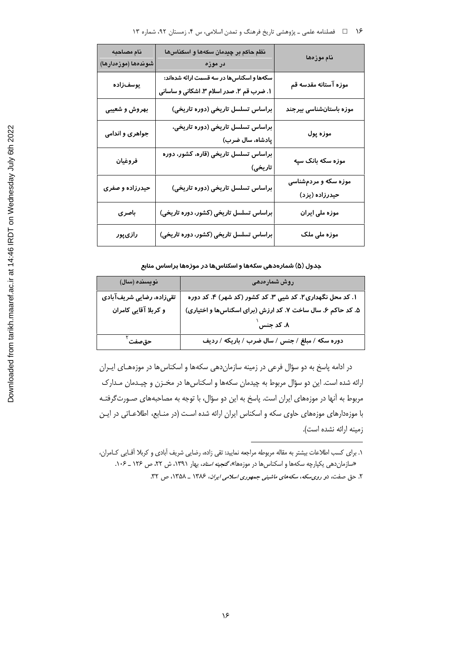| نام مصاحبه<br>شوندهها (موزەدارها) | نظم حاکم بر چیدمان سکهها و اسکناسها<br>در موزه                                         | نام موزەھا                             |
|-----------------------------------|----------------------------------------------------------------------------------------|----------------------------------------|
| يوسفiراده                         | سکهها و اسکناسها در سه قسمت ارائه شدهاند:<br>۱. ضرب قم ۲. صدر اسلام ۳. اشکانی و ساسانی | موزه آستانه مقدسه قم                   |
| بهروش و شعیبی                     | براساس تسلسل تاریخی (دوره تاریخی)                                                      | موزه باستانشناسی بیرجند                |
| جواهری و اندامی                   | براساس تسلسل تاریخی (دوره تاریخی،<br>پادشاه، سال ضرب)                                  | موزه پول                               |
| فروغيان                           | براساس تسلسل تاریخی (قاره، کشور، دوره<br>تاریخی)                                       | موزه سکه بانک سپه                      |
| حیدرزاده و صفری                   | براساس تسلسل تاریخی (دوره تاریخی)                                                      | موزه سکه و مردمشناسی<br>حیدرزاده (یزد) |
| باصرى                             | براساس تسلسل تاریخی (کشور، دوره تاریخی)                                                | موزه ملی ایران                         |
| رازیپور                           | براساس تسلسل تاریخی (کشور، دوره تاریخی)                                                | موزه ملی ملک                           |

جدول (۵) شمارهدهی سکهها و اسکناسها در موزهها براساس منابع

| نویسنده (سال)            | روش شمارەدھى                                                |
|--------------------------|-------------------------------------------------------------|
| تقیزاده، رضایی شریفآبادی | ۱. کد محل نگهداری ۲. کد شیی ۳. کد کشور (کد شهر) ۴. کد دوره  |
| و کربلا آقایی کامران     | ۵. کد حاکم ۶. سال ساخت ۷. کد ارزش (برای اسکناسها و اختیاری) |
|                          | ۸. کد جنس                                                   |
| حقصفت ٰ                  | دوره سکه / مبلغ / جنس / سال ضرب / باریکه / ردیف             |

در ادامه پاسخ به دو سؤال فرعی در زمینه سازماندهی سکهها و اسکناسها در موزههـای ایـران ارائه شده است. این دو سؤال مربوط به چیدمان سکهها و اسکناسها در مخـزن و چیـدمان مـدارک مربوط به آنها در موزههای ایران است. پاسخ به این دو سؤال، با توجه به مصاحبههای صـورتگرفتـه با موزهدارهای موزههای حاوی سکه و اسکناس ایران ارائه شده است (در منـابع، اطلاعـاتی در ایـن زمينه ارائه نشده است).

١. براي كسب اطلاعات بيشتر به مقاله مربوطه مراجعه نماييد: تقى زاده، رضايي شريف أبادي و كربلا أقـايي كـامران، «سازمان دهی یکپارچه سکهها و اسکناس ها در موزهها»، گنجینه اسناد، بهار ١٣٩١، ش ٢٢، ص ١٢۶ \_ ١٠۶.

۲. حق صفت، دو روی سکه، سکههای ماشینی جمهوری اسلامی ایران، ۱۳۸۶ ـ ۱۳۵۸، ص ۳۲.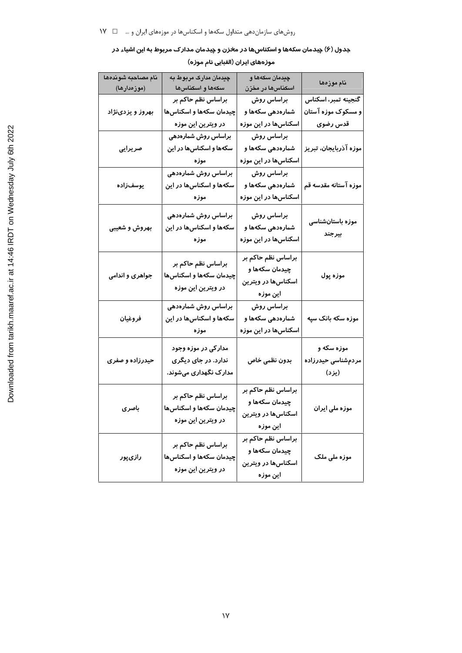جدول (۶) چیدمان سکهها و اسکناسها در مخزن و چیدمان مدارک مربوط به این اشیاء در

| موزههای ایران (الفبایی نام موزه) |
|----------------------------------|
|----------------------------------|

| نام مصاحبه شوندهها<br>(موزەدارھا) | <mark>چی</mark> دمان مدارک مربوط به<br>سكەها و اسكناسها             | چیدمان سکهها و<br>اسکناسها در مخزن                                                         | نام موزەھا                                            |
|-----------------------------------|---------------------------------------------------------------------|--------------------------------------------------------------------------------------------|-------------------------------------------------------|
| بهروز و یزدینژاد                  | براساس نظم حاکم بر<br>چیدمان سکهها و اسکناسها<br>در ویترین این موزه | براساس <i>ر</i> وش<br>شما <mark>ر</mark> ەدھى سكەھا <mark>و</mark><br>اسکناسها در این موزه | گنجینه تمبر، اسکناس<br>و مسکوک موزه آستان<br>قدس رضوى |
| صريرايى                           | براساس روش شمارهدهی<br>سکهها و اسکناسها در این<br>موزه              | براساس روش<br>شما <i>ر</i> هدهی سکهها و<br>اسکناسها در این موزه                            | موزه آذربایجان، تبریز                                 |
| يوسفiراده                         | براساس روش شمارهدهی<br>سکهها و اسکناسها در این<br>موزه              | براساس روش<br>شما <i>ر</i> ەدھى سكەھا <mark>و</mark><br>اسکناسها در این موزه               | موزه آستانه مقدسه قم                                  |
| بهروش و شعیبی                     | براساس روش شمارهدهی<br>سکهها و اسکناسها در این<br>موزه              | براساس روش<br>شمارەدھى سكەھا و<br>اسکناسها در این موزه                                     | موزه باستانشناسی<br>بيرجند                            |
| جواهری و اندامی                   | براساس نظم حاکم بر<br>چیدمان سکهها و اسکناسها<br>در ویترین این موزه | براساس نظم حاکم بر<br>چیدمان سکهها و<br>اسکناسها در ویترین<br>این موز ه                    | موزه پول                                              |
| فروغيان                           | براساس روش شمارهدهی<br>سکهها و اسکناسها در این<br>موزه              | براساس روش<br>شما <i>ر</i> ەدھى سكەھا <mark>و</mark><br>اسکناسها در این موزه               | موزه سکه بانک سپه                                     |
| حیدرزاده و صفری                   | مدارکی در موزه وجود<br>ندارد. در جای دیگری<br>مدارک نگهداری میشوند. | بدون نظمى خاص                                                                              | موزه سکه و<br>مردمشناسی حیدرزاده<br>(يزد)             |
| باصری                             | براساس نظم حاکم بر<br>چیدمان سکهها و اسکناسها<br>در ویترین این موزه | براساس نظم حاکم بر<br>چیدمان سکهها و<br>اسکناسها در ویترین<br>این موزه                     | موزه ملی ایران                                        |
| رازیپور                           | براساس نظم حاکم بر<br>چیدمان سکهها و اسکناسها<br>در ویترین این موزه | براساس نظم حاکم بر<br>چیدمان سکهها و<br>اسکناسها در ویترین<br>این موز ه                    | موزه ملی ملک                                          |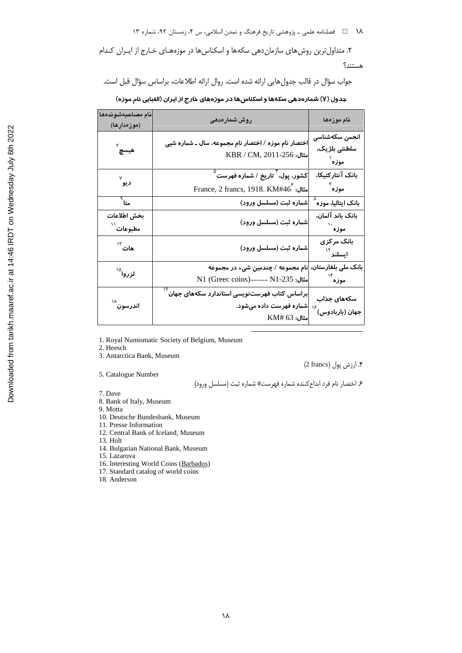۱۸ هـ استان که شای د بازوهشی تاریخ فرهنگ و تمدن اسلامی، س ۴، زمستان ۹۲، شماره ۱۳

۲. متداول ترین روش های سازمان دهی سکهها و اسکناس ها در موزههـای خـارج از ایـران کـدام هستند؟

جواب سؤال در قالب جدولهایی ارائه شده است. روال ارائه اطلاعات، براساس سؤال قبل است.

جدول (Y) شمارهدهی سکهها و اسکناسها در موزههای خارج از ایران (الفبایی نام موزه)

| نام مصاحبهشوندهها<br>(موزەدارھا)      | روش شمارەدھى                                                                                       | نام موزەھا                                    |
|---------------------------------------|----------------------------------------------------------------------------------------------------|-----------------------------------------------|
| ہ<br>میس <b>چ</b>                     | اختصار نام موزه / اختصار نام مجموعه، سال ـ شماره شیی<br>$KBR / CM$ , 2011-256 مثال:                | انجمن سكهشناسى<br>سلطنتی بلژیک،<br>ِ<br>موزه  |
| ديو َ <sup>٧</sup>                    | کشور، پول، <sup>۲</sup> تا <i>ر</i> یخ / شماره فهرست <sup>۵</sup><br>France, 2 francs, 1918. KM#46 | بانک آنتارکتیکا،<br>موزه ٌ                    |
| متا $^\circ$                          | شماره ثبت (مسلسل ورود)                                                                             | بانک ایتالیا، موز۰ <sup>^</sup>               |
| بخش اطلاعات<br>ُمطبوعات <sup>\\</sup> | شما <mark>ره</mark> ثبت (مسلسل ورود)                                                               | بانک باند آلمان،<br>۰۰<br>موزه                |
| هات ۱۳                                | شماره ثبت (مسلسل ورود)                                                                             | بانک مرکزی<br>ايسلند $^{\mathcal{W}}$         |
| لزروا <sup>1۵</sup>                   | نام مجموعه / چندمین شیء در مجموعه<br>مثال: N1 (Greec coins)----- N1-235                            | بانک ملی بلغارستان،<br>۱۴<br>موزه             |
| اندرسون <sup>۱۸</sup>                 | براساس کتاب فهرستنویسی استاندارد سکههای جهان<br> شماره فهرست داده میشود.<br>$KM#$ 63 مثال:         | سکههای جذاب<br>۱۶<br>جهان (با <i>ر</i> بادوس) |

1. Royal Numismatic Society of Belgium, Museum

2. Heesch

3. Antarctica Bank, Museum

5. Catalogue Number

۴. ارزش پول (2 francs)

۶ اختصار نام فرد ابداع كننده شماره فهرست# شماره ثبت (مسلسل ورود)

7. Dave

8. Bank of Italy, Museum

9. Motta

10. Deutsche Bundesbank, Museum

11. Presse Information

12. Central Bank of Iceland, Museum

13. Holt

14. Bulgarian National Bank, Museum

15. Lazarova

16. Interesting World Coins (Barbados)

17. Standard catalog of world coins

18. Anderson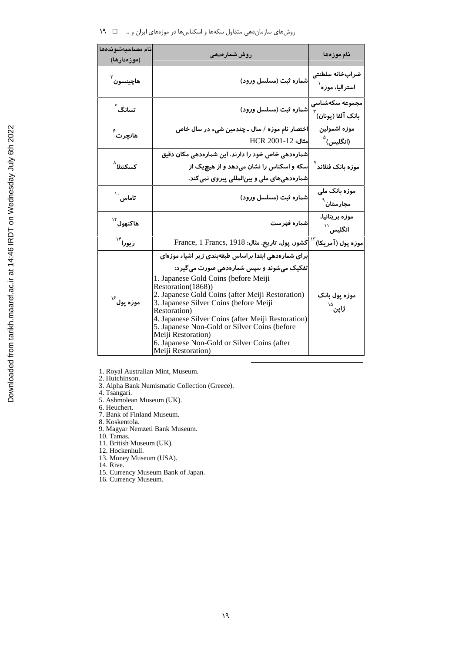| نام مصاحبهشوندهها<br>(موزەدارھا) | روش شمارەدھى                                                                                                                                                                                                                                                                                                                                                                                                                                                                   | نام موزەھا                                           |
|----------------------------------|--------------------------------------------------------------------------------------------------------------------------------------------------------------------------------------------------------------------------------------------------------------------------------------------------------------------------------------------------------------------------------------------------------------------------------------------------------------------------------|------------------------------------------------------|
| هاچينسون <sup>۲</sup>            | شماره ثبت (مسلسل ورود)                                                                                                                                                                                                                                                                                                                                                                                                                                                         | ضرابخانه سلطنتى<br>استرالیا، موزہ <sup>۱</sup>       |
| تسانگ <sup>۴</sup>               | شماره ثبت (مسلسل ورود)                                                                                                                                                                                                                                                                                                                                                                                                                                                         | مجموعه سكهشناسى<br>$^{\mathrm{v}}$ بانک آلفا (یونان) |
| ھانچرت <sup>گ</sup>              | اختصار نام موزه / سال ـ چندمین شیء در سال خاص<br>HCR 2001-12                                                                                                                                                                                                                                                                                                                                                                                                                   | موزه اشمولين<br>(انگلیس) <sup>۵</sup>                |
| کسکنتلا <sup>^</sup>             | شمارهدهی خاص خود را دارند. این شمارهدهی مکان دقیق<br>سکه و اسکناس را نشان میدهد و از هیچیک از<br>شمار ددهیهای ملی و بینالمللی پیروی نمیکند.                                                                                                                                                                                                                                                                                                                                    | موزه بانک فنلاند <sup>۷</sup>                        |
| ۰۰<br>تاماس <sup>۱۰</sup>        | شماره ثبت (مسلسل ورود)                                                                                                                                                                                                                                                                                                                                                                                                                                                         | موزه بانک ملی<br>مجا <i>ر</i> ستان <sup>`</sup>      |
| هاکنهول <sup>۱۲</sup>            | شماره فهرست                                                                                                                                                                                                                                                                                                                                                                                                                                                                    | موزه بريتانيا،<br>$^{\prime\prime}$ انگلیس           |
| ريورا ّ``                        | France, 1 Francs, 1918 : دشور، پول، تاريخ. مثال:                                                                                                                                                                                                                                                                                                                                                                                                                               | موزه پول (آمریکا) <sup>۱۲</sup>                      |
| موزه پول <sup>۱۶</sup>           | برای شمارهدهی ابتدا براساس طبقهبندی زیر اشیاء موزهای<br>تفکیک میشوند و سپس شمارهدهی صورت می گیرد:<br>1. Japanese Gold Coins (before Meiji<br>Restoration(1868))<br>2. Japanese Gold Coins (after Meiji Restoration)<br>3. Japanese Silver Coins (before Meiji<br>Restoration)<br>4. Japanese Silver Coins (after Meiji Restoration)<br>5. Japanese Non-Gold or Silver Coins (before<br>Meiji Restoration)<br>6. Japanese Non-Gold or Silver Coins (after<br>Meiji Restoration) | موزه پول بانک<br>ژاپن <sup>۱۵</sup>                  |

1. Royal Australian Mint, Museum.<br>2. Hutchinson.

- 3. Alpha Bank Numismatic Collection (Greece).<br>4. Tsangari.
	-
- 5. Ashmolean Museum (UK).
- 6. Heuchert.<br>7. Bank of Finland Museum.
- 8. Koskentola.
- 9. Noskelhola.<br>9. Magyar Nemzeti Bank Museum.<br>10. Tamas.<br>11. British Museum (UK).
- 
- 
- 12. Hockenhull.
- 13. Money Museum (USA).
- 14. Rive.
- 15. Currency Museum Bank of Japan.
- 16. Currency Museum.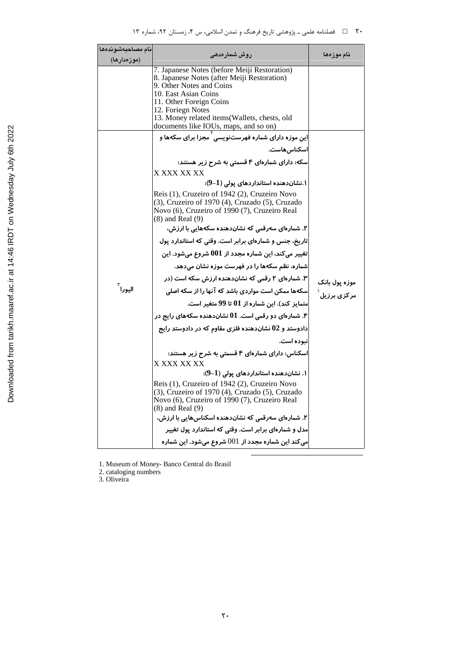| نام مصاحبهشوندهها   | روش شمارەدھى                                                                                                                                                                                                                                                                             | نام موزەھا    |
|---------------------|------------------------------------------------------------------------------------------------------------------------------------------------------------------------------------------------------------------------------------------------------------------------------------------|---------------|
| (موزەدارھا)         |                                                                                                                                                                                                                                                                                          |               |
|                     | 7. Japanese Notes (before Meiji Restoration)<br>8. Japanese Notes (after Meiji Restoration)<br>9. Other Notes and Coins<br>10. East Asian Coins<br>11. Other Foreign Coins<br>12. Foriegn Notes<br>13. Money related items(Wallets, chests, old<br>documents like IOUs, maps, and so on) |               |
|                     | این موزه دارای شماره فهرستنویسی ٰ مجزا برای سکهها و                                                                                                                                                                                                                                      |               |
|                     | اسکناس هاست.                                                                                                                                                                                                                                                                             |               |
|                     | سکه: دارای شمارهای ۴ قسمتی به شرح زیر هستند:                                                                                                                                                                                                                                             |               |
|                     | X XXX XX XX                                                                                                                                                                                                                                                                              |               |
|                     | ۱.نشاندهنده استانداردهای یولی (1–9):                                                                                                                                                                                                                                                     |               |
|                     | Reis (1), Cruzeiro of 1942 (2), Cruzeiro Novo<br>(3), Cruzeiro of 1970 (4), Cruzado (5), Cruzado<br>Novo (6), Cruzeiro of 1990 (7), Cruzeiro Real<br>$(8)$ and Real $(9)$                                                                                                                |               |
|                     | ۲. شمارهای سەرقمی که نشاندهنده سکەهایی با ارزش،                                                                                                                                                                                                                                          |               |
|                     | تاریخ، جنس و شمارهای برابر است. وقتی که استاندارد یول                                                                                                                                                                                                                                    |               |
|                     | تغییر میکند، این شماره مجدد از $001$ شروع میشود. این                                                                                                                                                                                                                                     |               |
|                     | شماره، نظم سکهها را در فهرست موزه نشان میدهد.                                                                                                                                                                                                                                            |               |
|                     | ۳. شمارهای ۲ رقمی که نشاندهنده ارزش سکه است (در                                                                                                                                                                                                                                          | موزه پول بانک |
| اليورا <sup>٣</sup> | سکهها ممکن است مواردی باشد که آنها را از سکه اصلی                                                                                                                                                                                                                                        | مر کزی برزیل  |
|                     | متمایز کند). این شماره از 01 تا 99 متغیر است.                                                                                                                                                                                                                                            |               |
|                     | ۴. شمارهای دو رقمی است. 01 نشاندهنده سکههای رایج در                                                                                                                                                                                                                                      |               |
|                     | دادوستد و 02 نشاندهنده فلزی مقاوم که در دادوستد رایج                                                                                                                                                                                                                                     |               |
|                     | نىودە است.                                                                                                                                                                                                                                                                               |               |
|                     | اسکناس: دارای شمارهای ۴ قسمتی به شرح زیر هستند:                                                                                                                                                                                                                                          |               |
|                     | X XXX XX XX                                                                                                                                                                                                                                                                              |               |
|                     | ۱. نشاندهنده استانداردهای یولی (1–9):                                                                                                                                                                                                                                                    |               |
|                     | Reis (1), Cruzeiro of 1942 (2), Cruzeiro Novo<br>(3), Cruzeiro of 1970 (4), Cruzado (5), Cruzado<br>Novo (6), Cruzeiro of 1990 (7), Cruzeiro Real<br>$(8)$ and Real $(9)$                                                                                                                |               |
|                     | ۲. شمارهای سەرقمی کە نشاندھندە اسکناسھایی با ارزش،                                                                                                                                                                                                                                       |               |
|                     | مدل و شمارهای برابر است. وقتی که استاندارد یول تغییر                                                                                                                                                                                                                                     |               |
|                     | می کند این شماره مجدد از $001$ شروع میشود. این شماره                                                                                                                                                                                                                                     |               |

1. Museum of Money- Banco Central do Brasil<br>2. cataloging numbers<br>3. Oliveira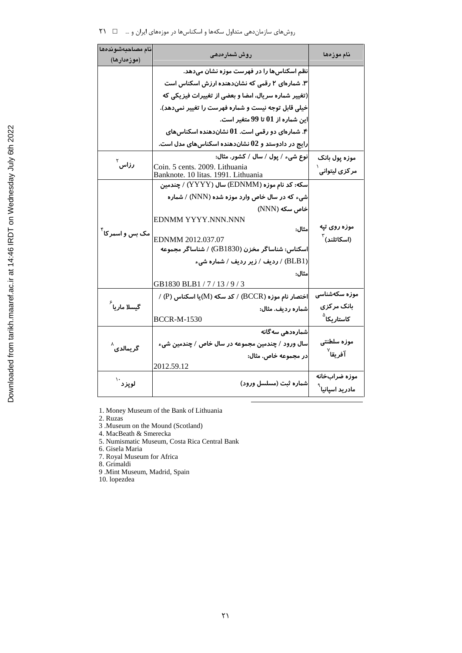| نام مصاحبهشوندهها            | روش شمارەدھى                                                             | نام موزەھا                  |
|------------------------------|--------------------------------------------------------------------------|-----------------------------|
| (موزەدارھا)                  |                                                                          |                             |
|                              | نظم اسکناسها را در فهرست موزه نشان میدهد.                                |                             |
|                              | ۳. شمارهای ۲ رقمی که نشاندهنده ارزش اسکناس است                           |                             |
|                              | (تغییر شماره سریال، امضا و بعضی از تغییرات فیزیکی که                     |                             |
|                              | خیلی قابل توجه نیست و شماره فهرست را تغییر نمیدهد).                      |                             |
|                              | این شماره از 01 تا 99 متغیر است.                                         |                             |
|                              | ۴. شمارهای دو رقمی است. ${\bf 01}$ نشاندهنده اسکناسهای                   |                             |
|                              | رایج در دادوستد و 02 نشاندهنده اسکناسهای مدل است.                        |                             |
|                              | نوع شیء / پول / سال / کشور. مثال:                                        | موزه پول بانک               |
| رزاس <sup>۲</sup>            | Coin. 5 cents. 2009. Lithuania                                           | مر کزی لیتوانی ٰ            |
|                              | Banknote. 10 litas. 1991. Lithuania                                      |                             |
|                              | سکه: کد نام موزه (EDNMM) سال (YYYY) / چندمین                             |                             |
|                              | شیء که در سال خاص وارد موزه شده (NNN) / شماره                            |                             |
|                              | خاص سکه (NNN)                                                            |                             |
|                              | EDNMM YYYY.NNN.NNN                                                       | موزه روی تپه                |
| مک بس و اسمر کا <sup>۴</sup> | مثال:                                                                    |                             |
|                              | EDNMM 2012.037.07<br>اسکناس: شناساگر مخزن (GB1830) / شناساگر مجموعه      | $^{\mathrm{v}}$ (اسکاتلند)  |
|                              |                                                                          |                             |
|                              | (BLB1) / ردیف / زیر ردیف / شماره شیء                                     |                             |
|                              | مثال:                                                                    |                             |
|                              | GB1830 BLB1/7/13/9/3                                                     | موزه سکهشناسی               |
|                              | / (P) اختصار نام موزہ ( $\rm{BCCR}$ ) / کد سکه ( $\rm{M}$ )یا اسکناس (P) |                             |
| گیسلا ما <i>ر</i> یا ً       | شماره رديف. مثال:                                                        | بانک مر کزی                 |
|                              | <b>BCCR-M-1530</b>                                                       | کاستاریکا <sup>۵</sup>      |
|                              | شمارەدھى سەگانە                                                          |                             |
| گر یمالدی <sup>^</sup>       | سال ورود / چندمین مجموعه در سال خاص / چندمین شیء                         | موزه سلطنتي                 |
|                              | در مجموعه خاص. مثال:                                                     | آفريقا <sup>∨</sup>         |
|                              | 2012.59.12                                                               |                             |
| ُلوپزد ``                    | شماره ثبت (مسلسل ورود)                                                   | موزه ضرابخانه               |
|                              |                                                                          | مادرید اسپانیا <sup>`</sup> |

1. Money Museum of the Bank of Lithuania

2. Ruzas<br>3. Museum on the Mound (Scotland)

4. MacBeath & Smerecka 5. Numismatic Museum, Costa Rica Central Bank

6. Gisela Maria<br>7. Royal Museum for Africa

8. Grimaldi

9 .Mint Museum, Madrid, Spain

 $10.$  lopezdea  $\,$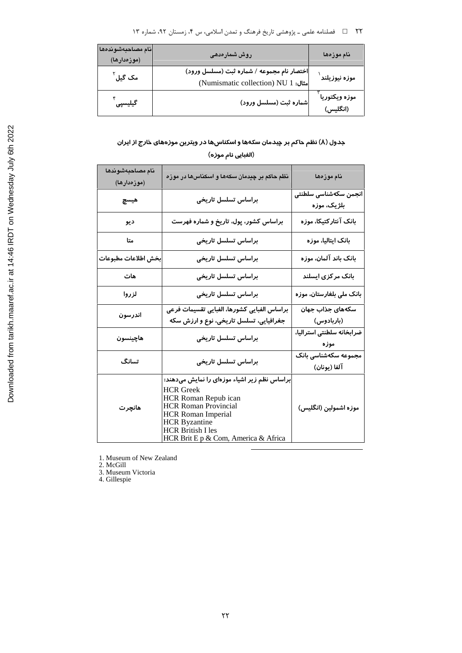۲۲٪ □ فصلنامه علمي ـ پژوهشي تاريخ فرهنگ و تمدن اسلامي، س ۴، زمستان ۹۲، شماره ۱۳

| أنام مصاحبهشوندهها<br>(موزەدارھا) | روش شمارەدھى                                                                      | نام موزەھا                 |
|-----------------------------------|-----------------------------------------------------------------------------------|----------------------------|
| مک گیل <sup>۲</sup>               | اختصار نام مجموعه / شماره ثبت (مسلسل ورود)<br>(Numismatic collection) NU 1 .مثال: | موزه نيوزيلند <sup>ا</sup> |
| گیلیسپی <sup>۴</sup>              | شماره ثبت (مسلسل ورود)                                                            | موزه ويكتوريا<br>(انگلیس)  |

## جدول (۸) نظم حاکم بر چیدمان سکهها و اسکناسها در ویترین موزههای خارج از ایران (الفبايي نام موزه)

| نام مصاحبهشوندها<br>(موزەدارھا) | نظم حاکم بر چیدمان سکهها و اسکناسها در موزه                                                                                                                                                                                                      | نام موزەھا                                      |
|---------------------------------|--------------------------------------------------------------------------------------------------------------------------------------------------------------------------------------------------------------------------------------------------|-------------------------------------------------|
| هيسچ                            | براساس تسلسل تاريخى                                                                                                                                                                                                                              | انجمن سكهشناسى سلطنتى<br>بلژیک، موزه            |
| ديو                             | براساس کشور، پول، تاریخ و شماره فهرست                                                                                                                                                                                                            | بانک آنتار کتیکا، موزہ                          |
| متا                             | براساس تسلسل تا <i>ر</i> یخی                                                                                                                                                                                                                     | بانک ایتالیا، مو <mark>ز</mark> ه               |
| بخش اطلاعات مطبوعات             | براساس تسلسل تا <i>ر</i> یخی                                                                                                                                                                                                                     | بانک باند آلمان، موز <mark>ه</mark>             |
| هات                             | براساس تسلسل تا <i>ر</i> یخی                                                                                                                                                                                                                     | بانک مر کزی ایسلن <mark>د</mark>                |
| لزروا                           | براساس تسلسل تاريخى                                                                                                                                                                                                                              | بانک ملی بلغا <i>ر</i> ستان، موز <mark>ه</mark> |
|                                 | براساس الفبايى كشورها، الفبايى تقسيمات فرعى                                                                                                                                                                                                      | سکههای جذاب جهان                                |
| اندرسون                         | جغرافیایی، تسلسل تاریخی، نوع و ارزش سکه                                                                                                                                                                                                          | (باربادوس)                                      |
| هاچينسون                        | براساس تسلسل تاريخى                                                                                                                                                                                                                              | ضرابخانه سلطنتى استراليا،<br>موزه               |
| تسانگ                           | براساس تسلسل تاريخى                                                                                                                                                                                                                              | مجموعه سكهشناسى بانك<br>آلفا (يونان)            |
| هانچرت                          | براساس نظم زیر اشیاء موزهای را نمایش میدهند:<br><b>HCR</b> Greek<br>HCR Roman Repub ican<br><b>HCR Roman Provincial</b><br><b>HCR Roman Imperial</b><br><b>HCR Byzantine</b><br><b>HCR British I les</b><br>HCR Brit E p & Com, America & Africa | موزه اشمولین (انگلیس)                           |

1. Museum of New Zealand<br>2. McGill<br>3. Museum Victoria<br>4. Gillespie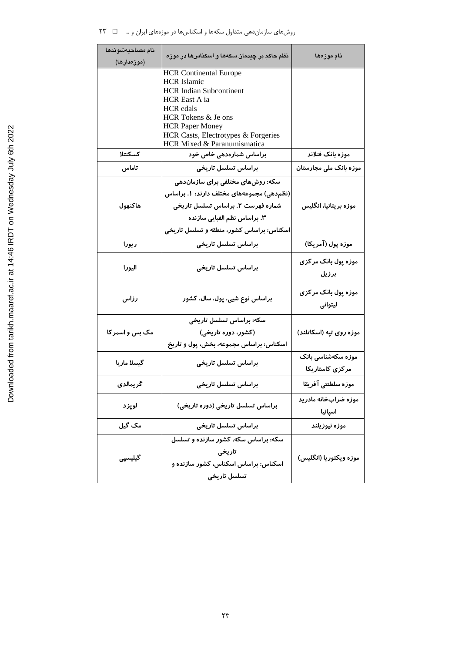| نام مصاحبهشوندها<br>(موزەدارھا) | نظم حاکم بر چیدمان سکهها و اسکناسها در موزه                                                                         | نام موزەھا                            |
|---------------------------------|---------------------------------------------------------------------------------------------------------------------|---------------------------------------|
|                                 | <b>HCR Continental Europe</b><br><b>HCR</b> Islamic                                                                 |                                       |
|                                 | <b>HCR Indian Subcontinent</b><br>HCR East A ia<br><b>HCR</b> edals                                                 |                                       |
|                                 | HCR Tokens & Je ons<br><b>HCR Paper Money</b><br>HCR Casts, Electrotypes & Forgeries<br>HCR Mixed & Paranumismatica |                                       |
| كسكنتلا                         | براساس شمارهدهی خاص خود                                                                                             | موزه بانک فنلاند                      |
| تاماس                           | براساس تسلسل تاريخى                                                                                                 | موزه بانک ملی مجارستان                |
|                                 | سکه: روشهای مختلفی برای سازماندهی                                                                                   |                                       |
|                                 | (نظم دهی) مجموعههای مختلف دارند: ۱. براساس                                                                          |                                       |
| هاكنهول                         | شماره فهرست ۲. براساس تسلسل تاریخی                                                                                  | موزه بریتانیا، انگلیس                 |
|                                 | ۳. براساس نظم الفبایی سازنده                                                                                        |                                       |
|                                 | اسکناس: براساس کشور، منطقه و تسلسل تاریخی                                                                           |                                       |
| ريورا                           | براساس تسلسل تاريخى                                                                                                 | موزه پول (آمریکا)                     |
| اليورا                          | براساس تسلسل تاريخى                                                                                                 | موزه پول بانک مر کزی<br>برزيل         |
| رزاس                            | براساس نوع شیی، پول، سال، کشور                                                                                      | موزه پول بانک مر کزی<br>ليتوانى       |
|                                 | سكە: براساس تسلسل تاریخی                                                                                            |                                       |
| مک بس و اسمر کا                 | (کشور، دوره تاریخی)                                                                                                 | موزه روی تپه (اسکاتلند)               |
|                                 | اسکناس: براساس مجموعه، بخش، پول و تاریخ                                                                             |                                       |
| گیسلا ماریا                     | براساس تسلسل تاريخى                                                                                                 | موزه سکهشناسی بانک<br>مرکزی کاستاریکا |
| گريمالدي                        | براساس تسلسل تاريخى                                                                                                 | موزه سلطنتى آفريقا                    |
| لوپزد                           | براساس تسلسل تاریخی (دوره تاریخی)                                                                                   | موزه ضرابخانه مادرید<br>اسپانیا       |
| مک گیل                          | براساس تسلسل تاريخى                                                                                                 | موزه نيوزيلند                         |
|                                 | سکه: براساس سکه، کشور سازنده و تسلسل                                                                                |                                       |
| گیلیسپی                         | تاريخى<br>اسکناس: براساس اسکناس، کشور سازنده و<br>تسلسل تاريخى                                                      | موزه ویکتوریا (انگلیس)                |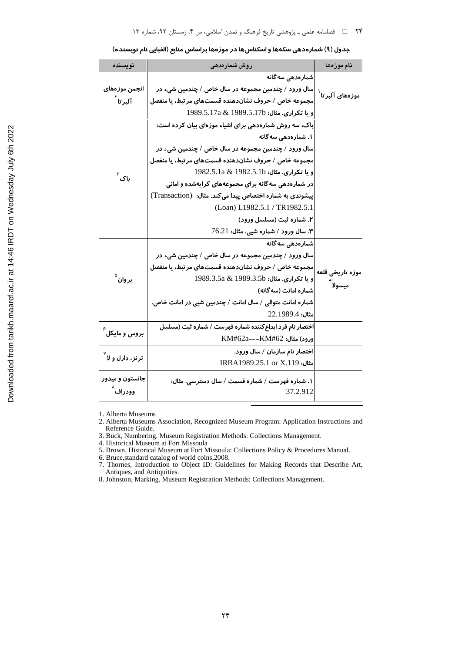| نويسنده                      | روش شمارەدھى                                              | نام موزەھا                        |
|------------------------------|-----------------------------------------------------------|-----------------------------------|
|                              | شمارەدھى سەگانە                                           |                                   |
| انجمن موزههای                | سال ورود / چندمین مجموعه در سال خاص / چندمین شیء در       | موزههای آلبرتا $^{^{\backprime}}$ |
| آلبرتا <sup>۲</sup>          | مجموعه خاص / حروف نشاندهنده قسمتهای مرتبط، یا منفصل       |                                   |
|                              | و يا تكرارى. مثال: 1989.5.17a & 1989.5.17b                |                                   |
|                              | باک، سه روش شمارهدهی برای اشیاء موزهای بیان کرده است:     |                                   |
|                              | ۱. شمارەدھى سەگانە                                        |                                   |
|                              | سال ورود / چندمین مجموعه در سال خاص / چندمین شیء در       |                                   |
|                              | مجموعه خاص / حروف نشاندهنده قسمتهای مرتبط، یا منفصل       |                                   |
| باک ّ                        | و يا تكراري. مثال: 1982.5.1a & 1982.5.1a                  |                                   |
|                              | در شمارهدهی سهگانه برای مجموعههای کرایهشده و امانی        |                                   |
|                              | پیشوندی به شماره اختصاص پیدا می کند. مثال: (Transaction)  |                                   |
|                              | (Loan) L1982.5.1 / TR1982.5.1                             |                                   |
|                              | ۲. شماره ثبت (مسلسل ورود)                                 |                                   |
|                              | ۳. سال ورود / شماره شیی. مثال: 76.21                      |                                   |
|                              | شمارەدھى سەگانە                                           |                                   |
|                              | سال ورود / چندمین مجموعه در سال خاص / چندمین شیء در       |                                   |
|                              | مجموعه خاص / حروف نشاندهنده قسمتهای مرتبط، یا منفصل       | موزه تاريخى قلعه                  |
| بروان <sup>۵</sup>           | و يا تكرارى. مثال: 1989.3.5a & 1989.3.5a                  |                                   |
|                              | شماره امانت (سه گانه)                                     | ميسولا <sup>۲</sup>               |
|                              | شماره امانت متوالی / سال امانت / چندمین شیی در امانت خاص. |                                   |
|                              | مثال: 1989.4.22                                           |                                   |
|                              | اختصار نام فرد ابداع کننده شماره فهرست / شماره ثبت (مسلسل |                                   |
| بروس و مایکل <sup>۶</sup>    | ورود) مثال: KM#62a---KM#62                                |                                   |
|                              | اختصار نام سازمان / سال ورود.                             |                                   |
| ترنز، دارل و لا <sup>۷</sup> | GRBA1989.25.1 or X.119                                    |                                   |
| جانستون و میدور              | ۱. شماره فهرست / شماره قسمت / سال دسترسی. مثال:           |                                   |
| وودراف ٛ                     | 37.2.912                                                  |                                   |
|                              |                                                           |                                   |

جدول (۹) شمارهدهی سکهها و اسکناسها در موزهها براساس منابع (الفبایی نام نویسنده)

1. Alberta Museums

3. Buck, Numbering. Museum Registration Methods: Collections Management.<br>4. Historical Museum at Fort Missoula

5. Brown, Historical Museum at Fort Missoula: Collections Policy & Procedures Manual.

6. Bruce, standard catalog of world coins, 2008.<br>
7. Thornes, Introduction to Object ID: Guidelines for Making Records that Describe Art, Antiques, and Antiquities.

8. Johnston, Marking. Museum Registration Methods: Collections Management.

<sup>2.</sup> Alberta Museums Association, Recognized Museum Program: Application Instructions and Reference Guide.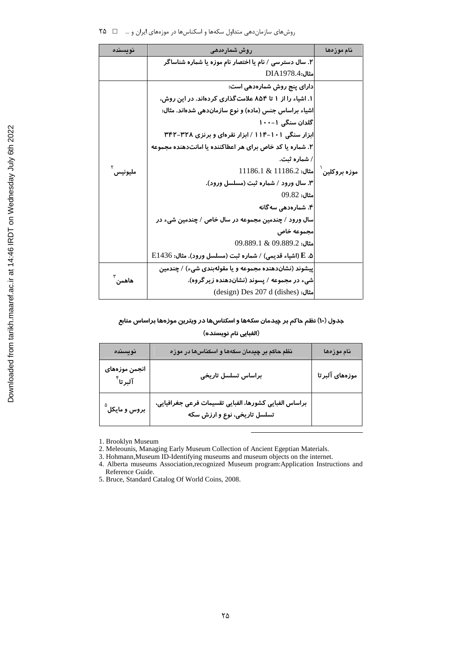روشهای سازماندهی متداول سکهها و اسکناسها در موزههای ایران و … ۔ ۲۵٪ ۲۵

| نوسىندە | روش شمارەدھى                                              | نام موزەھا |  |
|---------|-----------------------------------------------------------|------------|--|
|         | ۲. سال دسترسی / نام یا اختصار نام موزه یا شماره شناساگر   |            |  |
|         | <b>مثال:DIA1978.4</b>                                     |            |  |
|         | دارای پنج روش شمارهدهی است:                               |            |  |
|         | ۱. اشیاء را از ۱ تا ۸۵۴ علامت گذاری کردهاند. در این روش،  |            |  |
|         | اشیاء براساس جنس (ماده) و نوع سازماندهی شدهاند. مثال:     |            |  |
|         | گلدان سنگی ۱۰۰-۱                                          |            |  |
|         | ابزار سنگی ۱۰۱–۱۱۴ / ابزار نقرهای و برنزی ۳۲۸–۳۴۲         |            |  |
|         | ۲. شماره یا کد خاص برای هر اعطاکننده یا امانتدهنده مجموعه |            |  |
| مليونيس | / شمار ه ثبت.                                             |            |  |
|         | موزه بروكلين ْ  مثال: 11186.2 & 11186.1                   |            |  |
|         | ۳. سال ورود / شماره ثبت (مسلسل ورود).                     |            |  |
|         | $09.82:$ مثال:                                            |            |  |
|         | ۴. شمارەدھى سەگانە                                        |            |  |
|         | سال ورود / چندمین مجموعه در سال خاص / چندمین شیء در       |            |  |
|         | مجموعه خاص                                                |            |  |
|         | $09.889.1 \& 09.889.2$                                    |            |  |
|         | ه. E (اشياء قديمي) / شماره ثبت (مسلسل ورود). مثال: E1436  |            |  |
|         | پیشوند (نشاندهنده مجموعه و یا مقولهبندی شیء) / چندمین     |            |  |
| هاهمن   | شیء در مجموعه / پسوند (نشاندهنده زیر گروه).               |            |  |
|         | (design) Des 207 d (dishes) مثال:                         |            |  |

## جدول (۱۰) نظم حاکم بر چیدمان سکهها و اسکناسها در ویترین موزهها براساس منابع

## (الفبایی نام نویسنده)

| نويسنده                              | نظم حاکم بر چیدمان سکهها و اسکناسها در موزه                                            | نام موزەھا      |
|--------------------------------------|----------------------------------------------------------------------------------------|-----------------|
| انجمن موزههای<br>آلبرتا <sup>۴</sup> | براساس تسلسل تاريخى                                                                    | موزههای آلبر تا |
| بروس و مایکل <sup>°</sup>            | براساس الفبايى كشورها، الفبايى تقسيمات فرعى جغرافيايى،<br>تسلسل تاریخی، نوع و ارزش سکه |                 |

1. Brooklyn Museum

2. Meleounis, Managing Early Museum Collection of Ancient Egeptian Materials.<br>3. Hohmann, Museum ID-Identifying museums and museum objects on the internet.

4. Alberta museums Association, recognized Museum program: Application Instructions and Reference Guide.

5. Bruce, Standard Catalog Of World Coins, 2008.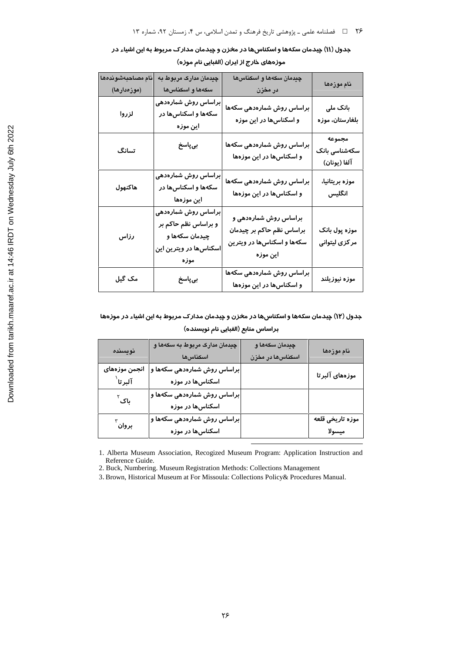| جدول (۱۱) چیدمان سکهها و اسکناسها در مخزن و چیدمان مدارک مربوط به این اشیاء در |  |
|--------------------------------------------------------------------------------|--|
| موزههای خارج از ایران (الفبایی نام موزه)                                       |  |

| نام مصاحبهشوندهها<br>(موزەدارھا) | <mark>چید</mark> مان مدارک مربوط به<br>سكەها و اسكناسها                                         | چیدمان سکهها و اسکناسها<br>در مخزن                                                            | نام موزەھا                              |
|----------------------------------|-------------------------------------------------------------------------------------------------|-----------------------------------------------------------------------------------------------|-----------------------------------------|
| لزروا                            | براساس روش شمارهدهی<br>سکهها و اسکناسها در<br>این موزه                                          | براساس روش شمارهدهی سکهها<br>و اسکناسها در این موزه                                           | بانک ملی<br>بلغارستان، موزه             |
| تسانگ                            | بىپاسخ                                                                                          | براساس روش شمارهدهی سکهها<br>و اسکناسها در این موزهها                                         | مجموعه<br>سکەشناسى بانک<br>آلفا (يونان) |
| هاكنهول                          | براساس روش شمارهدهی<br>سکهها و اسکناسها در<br>این موزهها                                        | براساس روش شمارهدهی سکهها<br>و اسکناسها در این موزهها                                         | موزه بريتانيا،<br>انگلیس                |
| رزاس                             | براساس روش شمارهدهی<br>و براساس نظم حاکم بر<br>چیدمان سکهها و<br>اسکناسها در ویترین این<br>موزه | براساس روش شمارهدهی و<br>براساس نظم حاکم بر چیدمان<br>سکهها و اسکناسها در ویترین<br>این موز ه | موزه پول بانک<br>مر کزی لیتوانی         |
| مک گیل                           | بىپاسخ                                                                                          | براساس روش شمارهدهی سکهها<br>و اسکناسها در این موزهها                                         | موزه نيوزيلند                           |

جدول (۱۲) چیدمان سکهها و اسکناسها در مخزن و چیدمان مدارک مربوط به این اشیاء در موزهها براساس منابع (الفبايي نام نويسنده)

| نويسنده                                   | چیدمان مدارک مربوط به سکهها و<br>اسكناسها       | چیدمان سکهها و<br>اسكناسها در مخزن | نام موزەھا                 |
|-------------------------------------------|-------------------------------------------------|------------------------------------|----------------------------|
| انجمن موزههای<br>ِ<br>آلبرتا <sup>`</sup> | براساس روش شمارهدهی سکهها و<br>اسکناسها در موزه |                                    | موزههای آلبرتا             |
| باک <sup>۲</sup>                          | براساس روش شمارهدهی سکهها و<br>اسکناسها در موزه |                                    |                            |
| بروان <sup>۳</sup>                        | براساس روش شمارهدهی سکهها و<br>اسکناسها در موزه |                                    | موزه تاريخى قلعه<br>ميسولا |

1. Alberta Museum Association, Recogized Museum Program: Application Instruction and Reference Guide.

2. Buck, Numbering. Museum Registration Methods: Collections Management

3. Brown, Historical Museum at For Missoula: Collections Policy& Procedures Manual.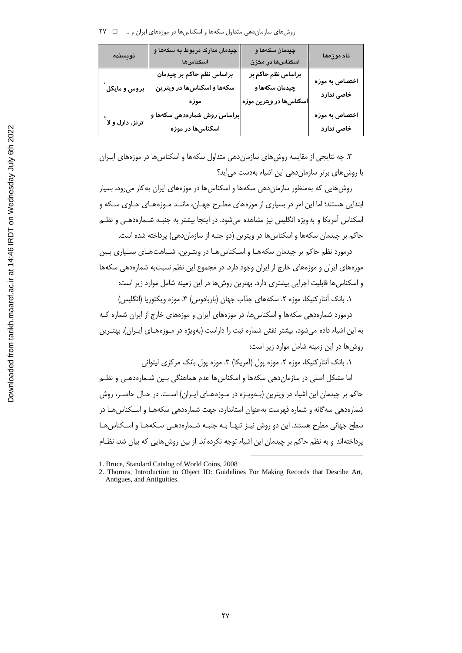| نويسنده                               | چیدمان مدارک مربوط به سکهها و<br>اسكناسها | چيدمان سکهها و<br>اسكناسها در مخزن | نام موزەھا                    |
|---------------------------------------|-------------------------------------------|------------------------------------|-------------------------------|
| بروس و مایکل ٰ                        | براساس نظم حاکم بر چیدمان                 | براساس نظم حاکم بر                 | اختصاص به موزه<br>خاصی ندار د |
|                                       | سکهها و اسکناسها در ویترین                | چیدمان سکهها و                     |                               |
|                                       | موزه                                      | اسکناسها در ویترین موزه            |                               |
| ترنز، دا <i>ر</i> ل و لا <sup>ا</sup> | براساس روش شمارهدهی سکهها و               |                                    | اختصاص به موزه                |
|                                       | اسکناسها در موزه                          |                                    | خاصی ندار د                   |

۳. چه نتایجی از مقایسه روش های سازمان دهی متداول سکهها و اسکناس ها در موزههای ایـران با روش های برتر سازمان دهی این اشیاء بهدست می آید؟

روش هایی که بهمنظور سازمان دهی سکهها و اسکناس ها در موزههای ایران به کار می رود، بسیار ابتدایی هستند؛ اما این امر در بسیاری از موزههای مطـرح جهـان، ماننـد مـوزههـای حـاوی سـکه و اسکناس آمریکا و بهویژه انگلیس نیز مشاهده میشود. در اینجا بیشتر به جنبـه شـمارهدهـی و نظـم حاکم بر چیدمان سکهها و اسکناس ها در ویترین (دو جنبه از سازمان دهی) پرداخته شده است.

درمورد نظم حاکم بر چیدمان سکههـا و اسـکناس هـا در ویتـرین، شـباهت هـای بسـیاری بـین موزههای ایران و موزههای خارج از ایران وجود دارد. در مجموع این نظم نسبتبه شمارهدهی سکهها و اسکناس ها قابلیت اجرایی بیشتری دارد. بهترین روش ها در این زمینه شامل موارد زیر است:

١. بانک آنتار کتیکا، موزه ٢. سکههای جذاب جهان (باربادوس) ٣. موزه ویکتوریا (انگلیس)

درمورد شمارهدهی سکهها و اسکناس ها، در موزههای ایران و موزههای خارج از ایران شماره کـه به این اشیاء داده می شود، بیشتر نقش شماره ثبت را داراست (بهویژه در مـوزههـای ایـران). بهتـرین روش ها در این زمینه شامل موارد زیر است:

۱. بانک آنتارکتیکا، موزه ۲. موزه یول (آمریکا) ۳. موزه یول بانک مرکزی لیتوانی

اما مشکل اصلی در سازماندهی سکهها و اسکناس ها عدم هماهنگی بـین شـمارهدهـی و نظـم حاکم بر چیدمان این اشیاء در ویترین (بـهویـژه در مـوزههـای ایـران) اسـت. در حـال حاضـر، روش شمارهدهی سهگانه و شماره فهرست بهعنوان استاندارد، جهت شمارهدهی سکههـا و اسـکناس هـا در سطح جهانی مطرح هستند. این دو روش نیـز تنهـا بـه جنبـه شـمارهدهـی سـکههـا و اسـکناسِهـا پرداختهاند و به نظم حاکم بر چیدمان این اشیاء توجه نکردهاند. از بین روش هایی که بیان شد، نظـام

<sup>1.</sup> Bruce, Standard Catalog of World Coins, 2008

<sup>2.</sup> Thornes, Introduction to Object ID: Guidelines For Making Records that Descibe Art, Antigues, and Antiguities.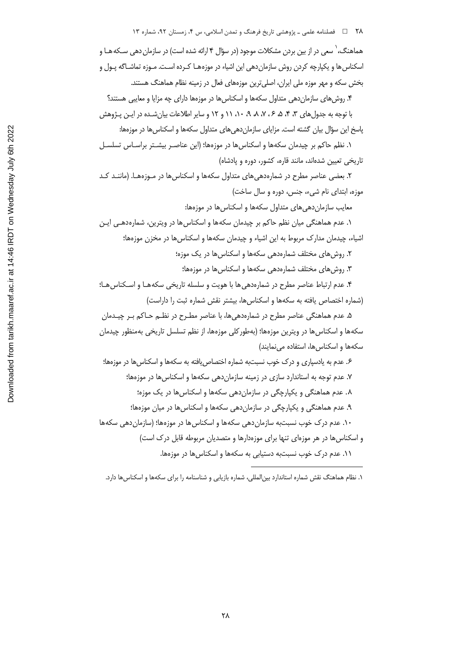۲۸ = 1 فصلنامه علمی ـ پژوهشی تاریخ فرهنگ و تمدن اسلامی، س ۴، زمستان ۹۲، شماره ۱۳ هماهنگ، ` سعی در از بین بردن مشکلات موجود (در سؤال ۴ ارائه شده است) در سازمان دهی ســکه هـا و اسکناس ها و یکپارچه کردن روش سازمان دهی این اشیاء در موزههـا کـرده اسـت. مـوزه تماشـاگه یـول و بخش سکه و مهر موزه ملی ایران، اصلی ترین موزههای فعال در زمینه نظام هماهنگ هستند. ۴. روش های سازمان دهی متداول سکهها و اسکناس ها در موزمها دارای چه مزایا و معایبی هستند؟ با توجه به جدول های ۳، ۴، ۵، ۶، ۷، ۸، ۸، ۱۱، ۱۱ و ۱۲ و سایر اطلاعات بیان شـده در ایـن پـژوهش پاسخ این سؤال بیان گشته است. مزایای سازماندهی های متداول سکهها و اسکناس ها در موزهها: ۱. نظم حاکم بر چیدمان سکهها و اسکناس ها در موزهها؛ (این عناصـر بیشـتر براسـاس تسلسـل ۲. بعضی عناصر مطرح در شمارهدهی های متداول سکهها و اسکناس ها در مـوزههـا. (ماننـد کـد معایب سازمان دهی های متداول سکهها و اسکناس ها در موزهها: ۱. عدم هماهنگی میان نظم حاکم بر چیدمان سکهها و اسکناس ها در ویترین، شمارهدهـی ایـن اشیاء، چیدمان مدارک مربوط به این اشیاء و چیدمان سکهها و اسکناسها در مخزن موزهها؛ ۲. روش های مختلف شمارهدهی سکهها و اسکناس ها در یک موزه؛ ۳. روشهای مختلف شمارهدهی سکهها و اسکناسها در موزهها؛ ۴. عدم ارتباط عناصر مطرح در شمارهدهی ها با هویت و سلسله تاریخی سکههـا و اسـکناس هـا؛ (شماره اختصاص یافته به سکهها و اسکناس ها، بیشتر نقش شماره ثبت را داراست) ۵. عدم هماهنگی عناصر مطرح در شمارهدهیها، با عناصر مطـرح در نظـم حـاکم بـر چیـدمان سکهها و اسکناس ها در ویترین موزهها؛ (بهطورکلی موزهها، از نظم تسلسل تاریخی بهمنظور چیدمان ۶. عدم به یادسیاری و درک خوب نسبتبه شماره اختصاص یافته به سکهها و اسکناس ها در موزهها؛ ۷. عدم توجه به استاندارد سازی در زمینه سازمان دهی سکهها و اسکناس ها در موزهها؛ ۸. عدم هماهنگی و یکپارچگی در سازماندهی سکهها و اسکناسها در یک موزه؛ ۹. عدم هماهنگی و یکپارچگی در سازمانِ دهی سکهها و اسکناسِها در میان موزمها؛ ۱۰. عدم درک خوب نسبتبه سازمان دهی سکهها و اسکناس ها در موزهها؛ (سازمان دهی سکهها و اسکناس ها در هر موزهای تنها برای موزهدارها و متصدیان مربوطه قابل درک است)

۱۱. عدم درک خوب نسبتبه دستیابی به سکهها و اسکناسها در موزهها.

تاریخی تعیین شدهاند، مانند قاره، کشور، دوره و پادشاه)

موزه، ابتدای نام شیء، جنس، دوره و سال ساخت)

سکهها و اسکناس ها، استفاده می نمایند)

۱. نظام هماهنگ نقش شماره استاندارد بین|لمللی، شماره بازیابی و شناسنامه را برای سکهها و اسکناسها دارد.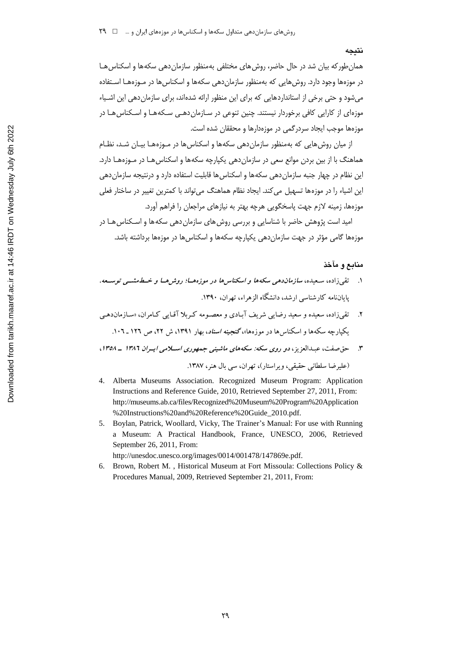#### نتىجە

همان طور که بیان شد در حال حاضر، روش های مختلفی بهمنظور سازمان دهی سکهها و اسکناس هـا در موزهها وجود دارد. روش هایی که بهمنظور سازمان دهی سکهها و اسکناس ها در مـوزههـا اسـتفاده مرشود و حتی برخی از استانداردهایی که برای این منظور ارائه شدهاند، برای سازمان دهی این اشیباء موزهای از کارایی کافی برخوردار نیستند. چنین تنوعی در سـازمان دهـی سـکههـا و اسـکناس هـا در موزمها موجب ايجاد سردرگمي در موزمدارها و محققان شده است.

از میان روش هایی که بهمنظور سازمان دهی سکهها و اسکناس ها در مـوزههـا بیـان شـد، نظـام هماهنگ با از بین بردن موانع سعی در سازمان دهی یکپارچه سکهها و اسکناس هـا در مـوزههـا دارد. این نظام در چهار جنبه سازمان دهی سکهها و اسکناس ها قابلیت استفاده دارد و درنتیجه سازمان دهی این اشیاء را در موزهها تسهیل می کند. ایجاد نظام هماهنگ می تواند با کمترین تغییر در ساختار فعلی موزهها، زمینه لازم جهت پاسخگویی هرچه بهتر به نیازهای مراجعان را فراهم آورد.

امید است پژوهش حاضر با شناسایی و بررسی روش های سازمان دهی سکه ها و اسـکناس هـا در موزهها گامی مؤثر در جهت سازماندهی یکپارچه سکهها و اسکناس ها در موزهها برداشته باشد.

### منابع و مآخذ

- ۱. \_ تقى زاده، سعيده، سازمان دهى سكه ها و اسكناس ها در موزه هــا؛ روش هــا و خــطــهشـــى توســـعه، پایاننامه کارشناسی ارشد، دانشگاه الزهراء، تهران، ۱۳۹۰.
- ۔<br>تقی زادہ، سعیدہ و سعید رضایے شریف آبادی و معصومه کیربلا آقیایے کیام ان، «سازمان دھے یکیارچه سکهها و اسکناس ها در موزهها»، گنجی*نه اسناد*، بهار ۱۳۹۱، ش ۲۲، ص ۱۲۶ \_ ۱۰۲.
- حق صفت، عبدالعزیز ، دو روی سکه: سکههای ماشینی جمهوری اسپلامی ایپران ۱۳۸۶ ـ ۱۳۵۸،

(عليرضا سلطاني حقيقي، و پر استار)، تهران، سي بال هنر، ١٣٨٧.

- 4. Alberta Museums Association. Recognized Museum Program: Application Instructions and Reference Guide, 2010, Retrieved September 27, 2011, From: http://museums.ab.ca/files/Recognized%20Museum%20Program%20Application %20Instructions%20and%20Reference%20Guide\_2010.pdf.
- 5. Boylan, Patrick, Woollard, Vicky, The Trainer's Manual: For use with Running a Museum: A Practical Handbook, France, UNESCO, 2006, Retrieved September 26, 2011, From:

http://unesdoc.unesco.org/images/0014/001478/147869e.pdf.

6. Brown, Robert M., Historical Museum at Fort Missoula: Collections Policy & Procedures Manual, 2009, Retrieved September 21, 2011, From: